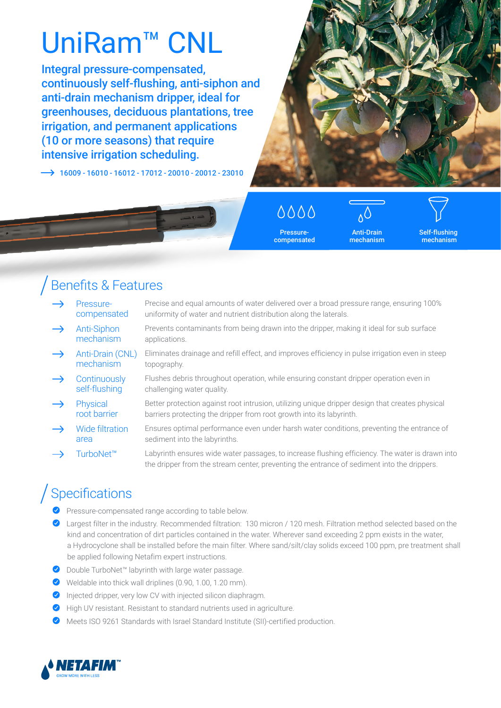# UniRam<sup>™</sup> CNL

Integral pressure-compensated, continuously self-flushing, anti-siphon and anti-drain mechanism dripper, ideal for greenhouses, deciduous plantations, tree irrigation, and permanent applications (10 or more seasons) that require intensive irrigation scheduling.

 $\rightarrow$  16009 - 16010 - 16012 - 17012 - 20010 - 20012 - 23010



0000 Pressure-

compensated

Anti-Drain mechanism

Self-flushing mechanism

### Benefits & Features

- Pressurecompensated Precise and equal amounts of water delivered over a broad pressure range, ensuring 100% uniformity of water and nutrient distribution along the laterals.
	- Anti-Siphon mechanism Prevents contaminants from being drawn into the dripper, making it ideal for sub surface applications.
	- Anti-Drain (CNL) mechanism Eliminates drainage and refill effect, and improves efficiency in pulse irrigation even in steep topography.
- Flushes debris throughout operation, while ensuring constant dripper operation even in  $\rightarrow$ **Continuously** self-flushing challenging water quality.
- Physical root barrier Better protection against root intrusion, utilizing unique dripper design that creates physical barriers protecting the dripper from root growth into its labyrinth.
- Wide filtration area Ensures optimal performance even under harsh water conditions, preventing the entrance of sediment into the labyrinths.
- TurboNet™ Labyrinth ensures wide water passages, to increase flushing efficiency. The water is drawn into the dripper from the stream center, preventing the entrance of sediment into the drippers.

## Specifications

- Pressure-compensated range according to table below.
- Largest filter in the industry. Recommended filtration: 130 micron / 120 mesh. Filtration method selected based on the kind and concentration of dirt particles contained in the water. Wherever sand exceeding 2 ppm exists in the water, a Hydrocyclone shall be installed before the main filter. Where sand/silt/clay solids exceed 100 ppm, pre treatment shall be applied following Netafim expert instructions.
- Double TurboNet™ labyrinth with large water passage.
- $\blacklozenge$  Weldable into thick wall driplines (0.90, 1.00, 1.20 mm).
- **O** Injected dripper, very low CV with injected silicon diaphragm.
- High UV resistant. Resistant to standard nutrients used in agriculture.
- Meets ISO 9261 Standards with Israel Standard Institute (SII)-certified production.